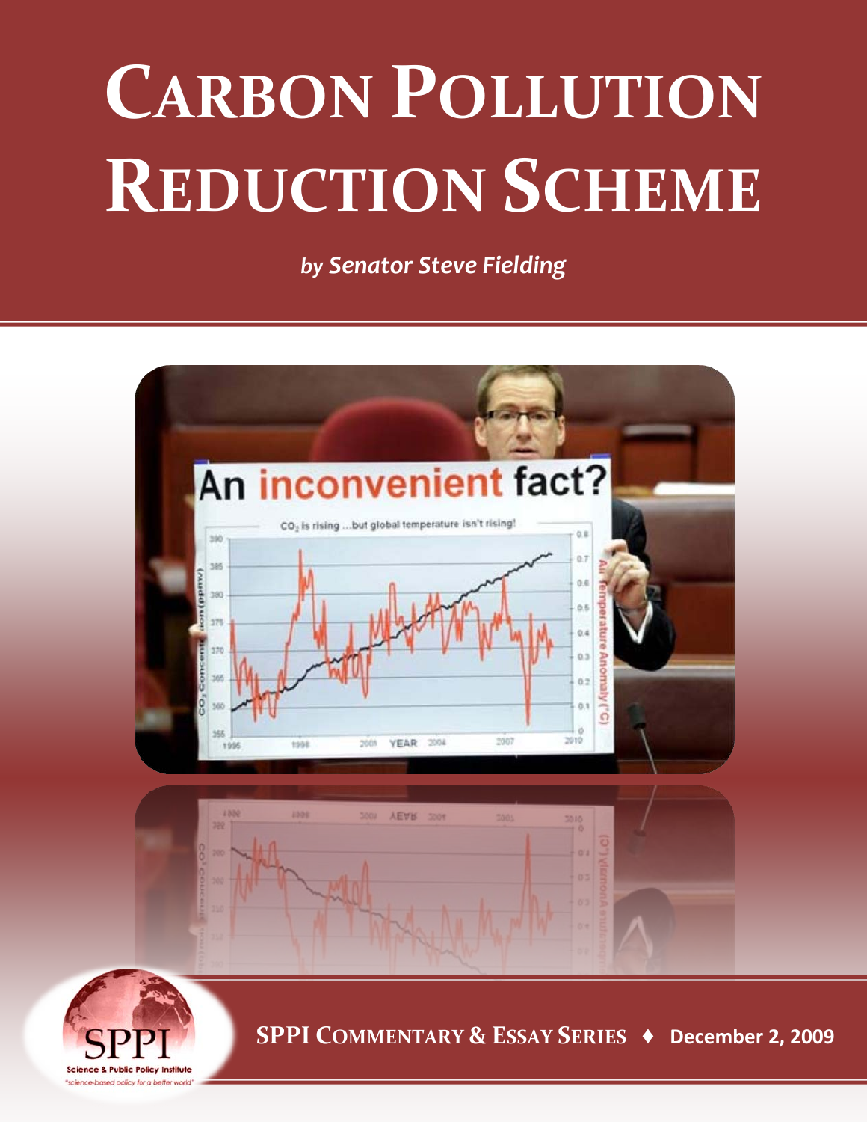## **CARBON POLLUTION REDUCTION SCHEME**

*by Senator Steve Fielding*





 **SPPI COMMENTARY & ESSAY SERIES ♦ December 2, 2009**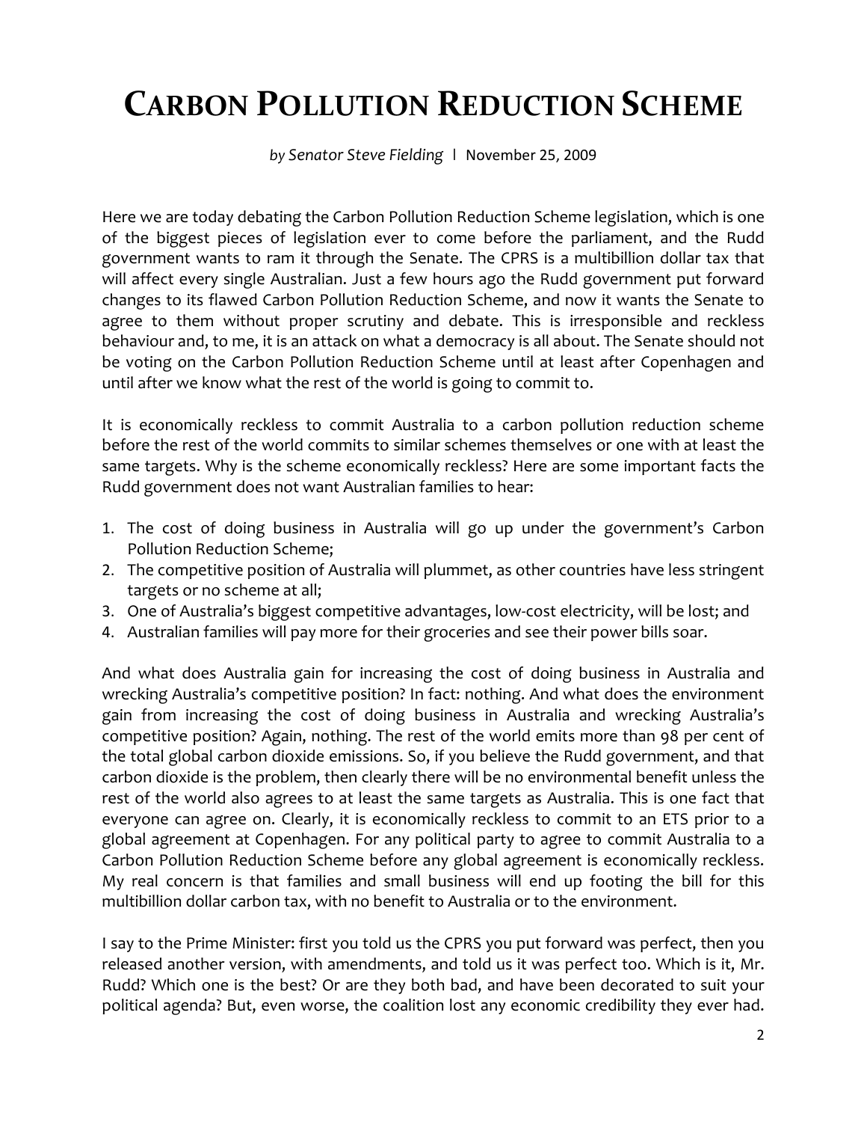## **CARBON POLLUTION REDUCTION SCHEME**

*by Senator Steve Fielding* **|** November 25, 2009

Here we are today debating the Carbon Pollution Reduction Scheme legislation, which is one of the biggest pieces of legislation ever to come before the parliament, and the Rudd government wants to ram it through the Senate. The CPRS is a multibillion dollar tax that will affect every single Australian. Just a few hours ago the Rudd government put forward changes to its flawed Carbon Pollution Reduction Scheme, and now it wants the Senate to agree to them without proper scrutiny and debate. This is irresponsible and reckless behaviour and, to me, it is an attack on what a democracy is all about. The Senate should not be voting on the Carbon Pollution Reduction Scheme until at least after Copenhagen and until after we know what the rest of the world is going to commit to.

It is economically reckless to commit Australia to a carbon pollution reduction scheme before the rest of the world commits to similar schemes themselves or one with at least the same targets. Why is the scheme economically reckless? Here are some important facts the Rudd government does not want Australian families to hear:

- 1. The cost of doing business in Australia will go up under the government's Carbon Pollution Reduction Scheme;
- 2. The competitive position of Australia will plummet, as other countries have less stringent targets or no scheme at all;
- 3. One of Australia's biggest competitive advantages, low-cost electricity, will be lost; and
- 4. Australian families will pay more for their groceries and see their power bills soar.

And what does Australia gain for increasing the cost of doing business in Australia and wrecking Australia's competitive position? In fact: nothing. And what does the environment gain from increasing the cost of doing business in Australia and wrecking Australia's competitive position? Again, nothing. The rest of the world emits more than 98 per cent of the total global carbon dioxide emissions. So, if you believe the Rudd government, and that carbon dioxide is the problem, then clearly there will be no environmental benefit unless the rest of the world also agrees to at least the same targets as Australia. This is one fact that everyone can agree on. Clearly, it is economically reckless to commit to an ETS prior to a global agreement at Copenhagen. For any political party to agree to commit Australia to a Carbon Pollution Reduction Scheme before any global agreement is economically reckless. My real concern is that families and small business will end up footing the bill for this multibillion dollar carbon tax, with no benefit to Australia or to the environment.

I say to the Prime Minister: first you told us the CPRS you put forward was perfect, then you released another version, with amendments, and told us it was perfect too. Which is it, Mr. Rudd? Which one is the best? Or are they both bad, and have been decorated to suit your political agenda? But, even worse, the coalition lost any economic credibility they ever had.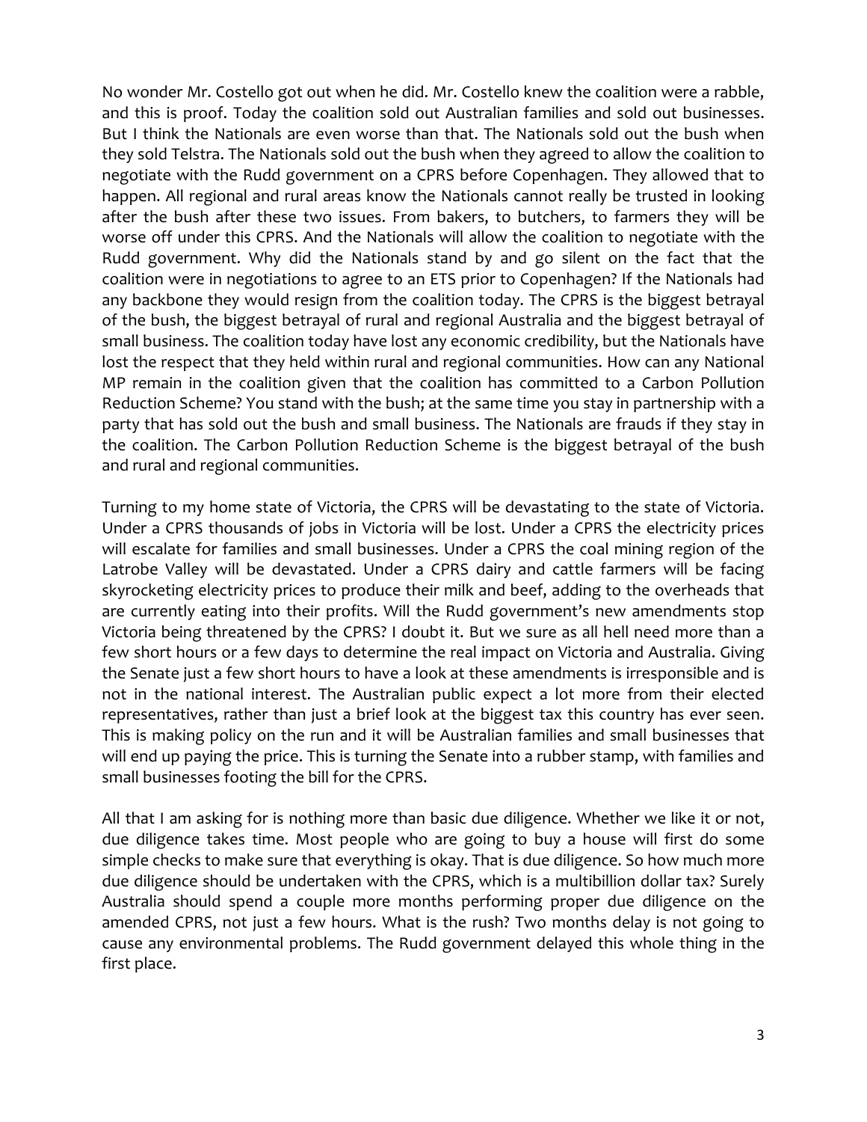No wonder Mr. Costello got out when he did. Mr. Costello knew the coalition were a rabble, and this is proof. Today the coalition sold out Australian families and sold out businesses. But I think the Nationals are even worse than that. The Nationals sold out the bush when they sold Telstra. The Nationals sold out the bush when they agreed to allow the coalition to negotiate with the Rudd government on a CPRS before Copenhagen. They allowed that to happen. All regional and rural areas know the Nationals cannot really be trusted in looking after the bush after these two issues. From bakers, to butchers, to farmers they will be worse off under this CPRS. And the Nationals will allow the coalition to negotiate with the Rudd government. Why did the Nationals stand by and go silent on the fact that the coalition were in negotiations to agree to an ETS prior to Copenhagen? If the Nationals had any backbone they would resign from the coalition today. The CPRS is the biggest betrayal of the bush, the biggest betrayal of rural and regional Australia and the biggest betrayal of small business. The coalition today have lost any economic credibility, but the Nationals have lost the respect that they held within rural and regional communities. How can any National MP remain in the coalition given that the coalition has committed to a Carbon Pollution Reduction Scheme? You stand with the bush; at the same time you stay in partnership with a party that has sold out the bush and small business. The Nationals are frauds if they stay in the coalition. The Carbon Pollution Reduction Scheme is the biggest betrayal of the bush and rural and regional communities.

Turning to my home state of Victoria, the CPRS will be devastating to the state of Victoria. Under a CPRS thousands of jobs in Victoria will be lost. Under a CPRS the electricity prices will escalate for families and small businesses. Under a CPRS the coal mining region of the Latrobe Valley will be devastated. Under a CPRS dairy and cattle farmers will be facing skyrocketing electricity prices to produce their milk and beef, adding to the overheads that are currently eating into their profits. Will the Rudd government's new amendments stop Victoria being threatened by the CPRS? I doubt it. But we sure as all hell need more than a few short hours or a few days to determine the real impact on Victoria and Australia. Giving the Senate just a few short hours to have a look at these amendments is irresponsible and is not in the national interest. The Australian public expect a lot more from their elected representatives, rather than just a brief look at the biggest tax this country has ever seen. This is making policy on the run and it will be Australian families and small businesses that will end up paying the price. This is turning the Senate into a rubber stamp, with families and small businesses footing the bill for the CPRS.

All that I am asking for is nothing more than basic due diligence. Whether we like it or not, due diligence takes time. Most people who are going to buy a house will first do some simple checks to make sure that everything is okay. That is due diligence. So how much more due diligence should be undertaken with the CPRS, which is a multibillion dollar tax? Surely Australia should spend a couple more months performing proper due diligence on the amended CPRS, not just a few hours. What is the rush? Two months delay is not going to cause any environmental problems. The Rudd government delayed this whole thing in the first place.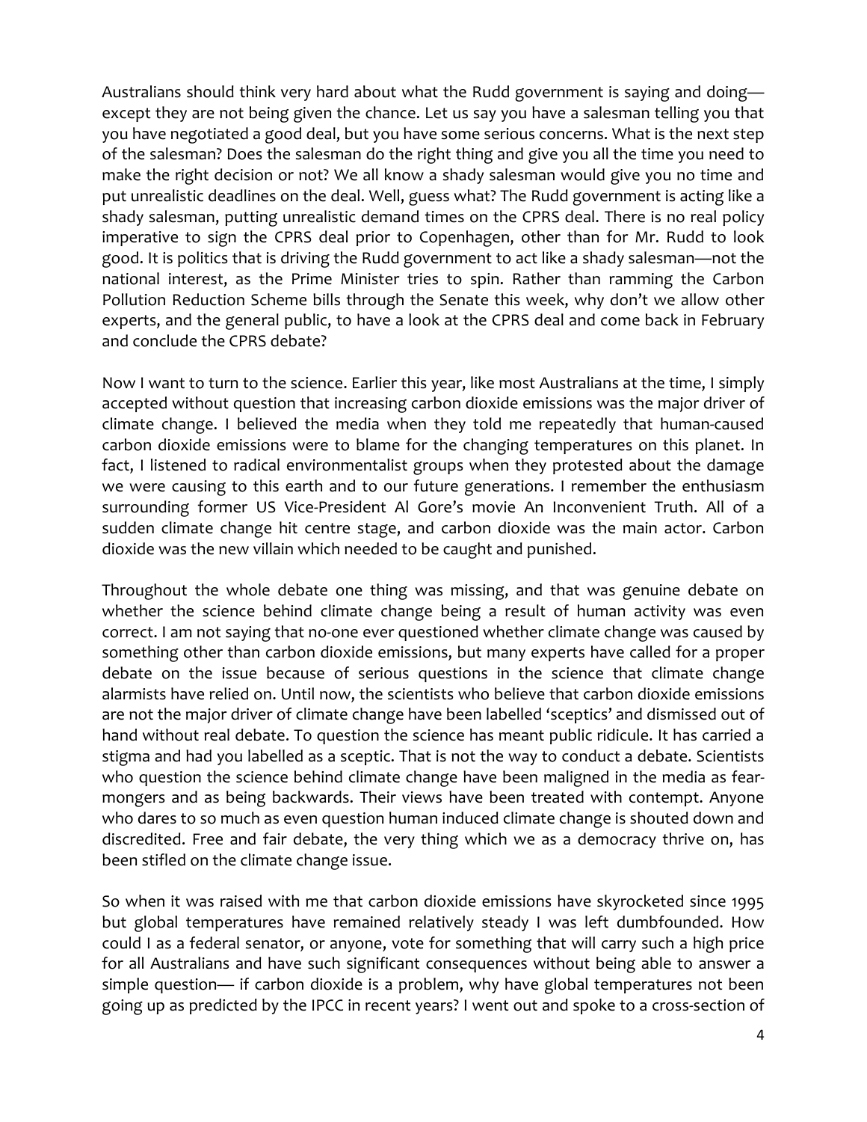Australians should think very hard about what the Rudd government is saying and doing except they are not being given the chance. Let us say you have a salesman telling you that you have negotiated a good deal, but you have some serious concerns. What is the next step of the salesman? Does the salesman do the right thing and give you all the time you need to make the right decision or not? We all know a shady salesman would give you no time and put unrealistic deadlines on the deal. Well, guess what? The Rudd government is acting like a shady salesman, putting unrealistic demand times on the CPRS deal. There is no real policy imperative to sign the CPRS deal prior to Copenhagen, other than for Mr. Rudd to look good. It is politics that is driving the Rudd government to act like a shady salesman—not the national interest, as the Prime Minister tries to spin. Rather than ramming the Carbon Pollution Reduction Scheme bills through the Senate this week, why don't we allow other experts, and the general public, to have a look at the CPRS deal and come back in February and conclude the CPRS debate?

Now I want to turn to the science. Earlier this year, like most Australians at the time, I simply accepted without question that increasing carbon dioxide emissions was the major driver of climate change. I believed the media when they told me repeatedly that human-caused carbon dioxide emissions were to blame for the changing temperatures on this planet. In fact, I listened to radical environmentalist groups when they protested about the damage we were causing to this earth and to our future generations. I remember the enthusiasm surrounding former US Vice-President Al Gore's movie An Inconvenient Truth. All of a sudden climate change hit centre stage, and carbon dioxide was the main actor. Carbon dioxide was the new villain which needed to be caught and punished.

Throughout the whole debate one thing was missing, and that was genuine debate on whether the science behind climate change being a result of human activity was even correct. I am not saying that no-one ever questioned whether climate change was caused by something other than carbon dioxide emissions, but many experts have called for a proper debate on the issue because of serious questions in the science that climate change alarmists have relied on. Until now, the scientists who believe that carbon dioxide emissions are not the major driver of climate change have been labelled 'sceptics' and dismissed out of hand without real debate. To question the science has meant public ridicule. It has carried a stigma and had you labelled as a sceptic. That is not the way to conduct a debate. Scientists who question the science behind climate change have been maligned in the media as fearmongers and as being backwards. Their views have been treated with contempt. Anyone who dares to so much as even question human induced climate change is shouted down and discredited. Free and fair debate, the very thing which we as a democracy thrive on, has been stifled on the climate change issue.

So when it was raised with me that carbon dioxide emissions have skyrocketed since 1995 but global temperatures have remained relatively steady I was left dumbfounded. How could I as a federal senator, or anyone, vote for something that will carry such a high price for all Australians and have such significant consequences without being able to answer a simple question— if carbon dioxide is a problem, why have global temperatures not been going up as predicted by the IPCC in recent years? I went out and spoke to a cross-section of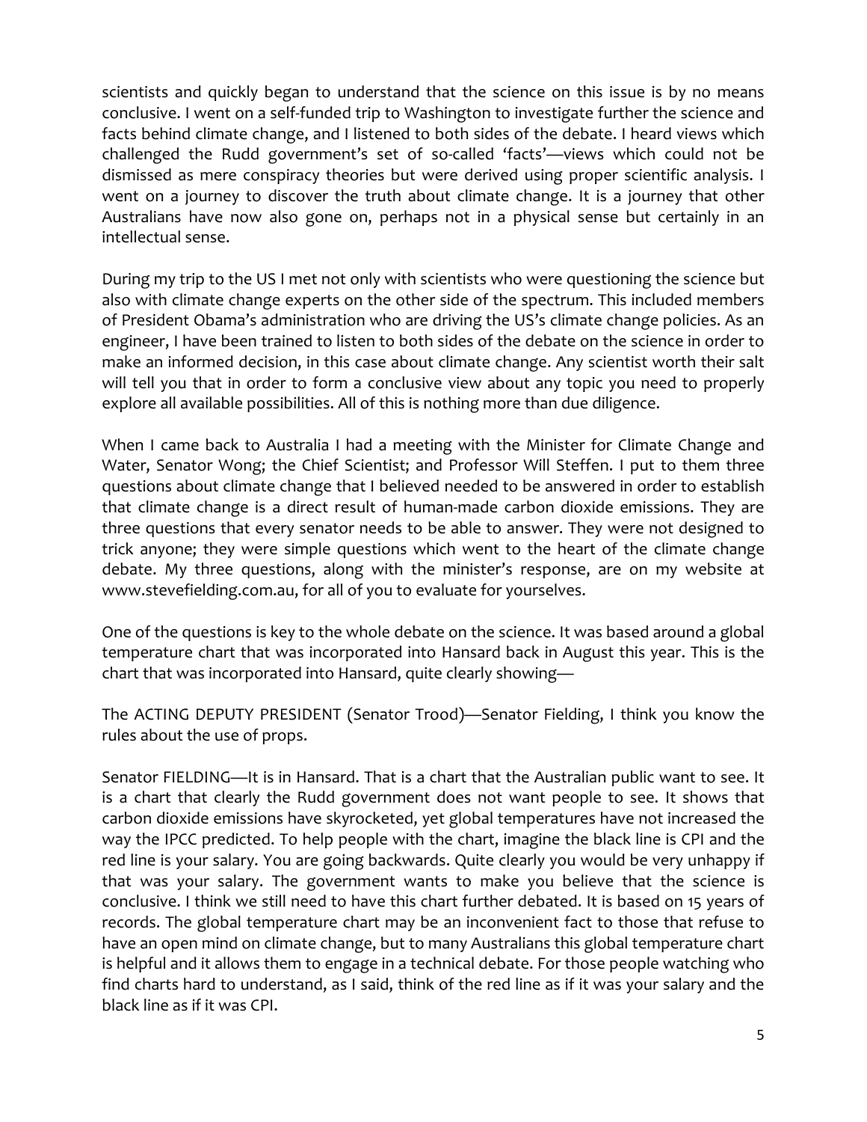scientists and quickly began to understand that the science on this issue is by no means conclusive. I went on a self-funded trip to Washington to investigate further the science and facts behind climate change, and I listened to both sides of the debate. I heard views which challenged the Rudd government's set of so-called 'facts'—views which could not be dismissed as mere conspiracy theories but were derived using proper scientific analysis. I went on a journey to discover the truth about climate change. It is a journey that other Australians have now also gone on, perhaps not in a physical sense but certainly in an intellectual sense.

During my trip to the US I met not only with scientists who were questioning the science but also with climate change experts on the other side of the spectrum. This included members of President Obama's administration who are driving the US's climate change policies. As an engineer, I have been trained to listen to both sides of the debate on the science in order to make an informed decision, in this case about climate change. Any scientist worth their salt will tell you that in order to form a conclusive view about any topic you need to properly explore all available possibilities. All of this is nothing more than due diligence.

When I came back to Australia I had a meeting with the Minister for Climate Change and Water, Senator Wong; the Chief Scientist; and Professor Will Steffen. I put to them three questions about climate change that I believed needed to be answered in order to establish that climate change is a direct result of human-made carbon dioxide emissions. They are three questions that every senator needs to be able to answer. They were not designed to trick anyone; they were simple questions which went to the heart of the climate change debate. My three questions, along with the minister's response, are on my website at www.stevefielding.com.au, for all of you to evaluate for yourselves.

One of the questions is key to the whole debate on the science. It was based around a global temperature chart that was incorporated into Hansard back in August this year. This is the chart that was incorporated into Hansard, quite clearly showing—

The ACTING DEPUTY PRESIDENT (Senator Trood)—Senator Fielding, I think you know the rules about the use of props.

Senator FIELDING—It is in Hansard. That is a chart that the Australian public want to see. It is a chart that clearly the Rudd government does not want people to see. It shows that carbon dioxide emissions have skyrocketed, yet global temperatures have not increased the way the IPCC predicted. To help people with the chart, imagine the black line is CPI and the red line is your salary. You are going backwards. Quite clearly you would be very unhappy if that was your salary. The government wants to make you believe that the science is conclusive. I think we still need to have this chart further debated. It is based on 15 years of records. The global temperature chart may be an inconvenient fact to those that refuse to have an open mind on climate change, but to many Australians this global temperature chart is helpful and it allows them to engage in a technical debate. For those people watching who find charts hard to understand, as I said, think of the red line as if it was your salary and the black line as if it was CPI.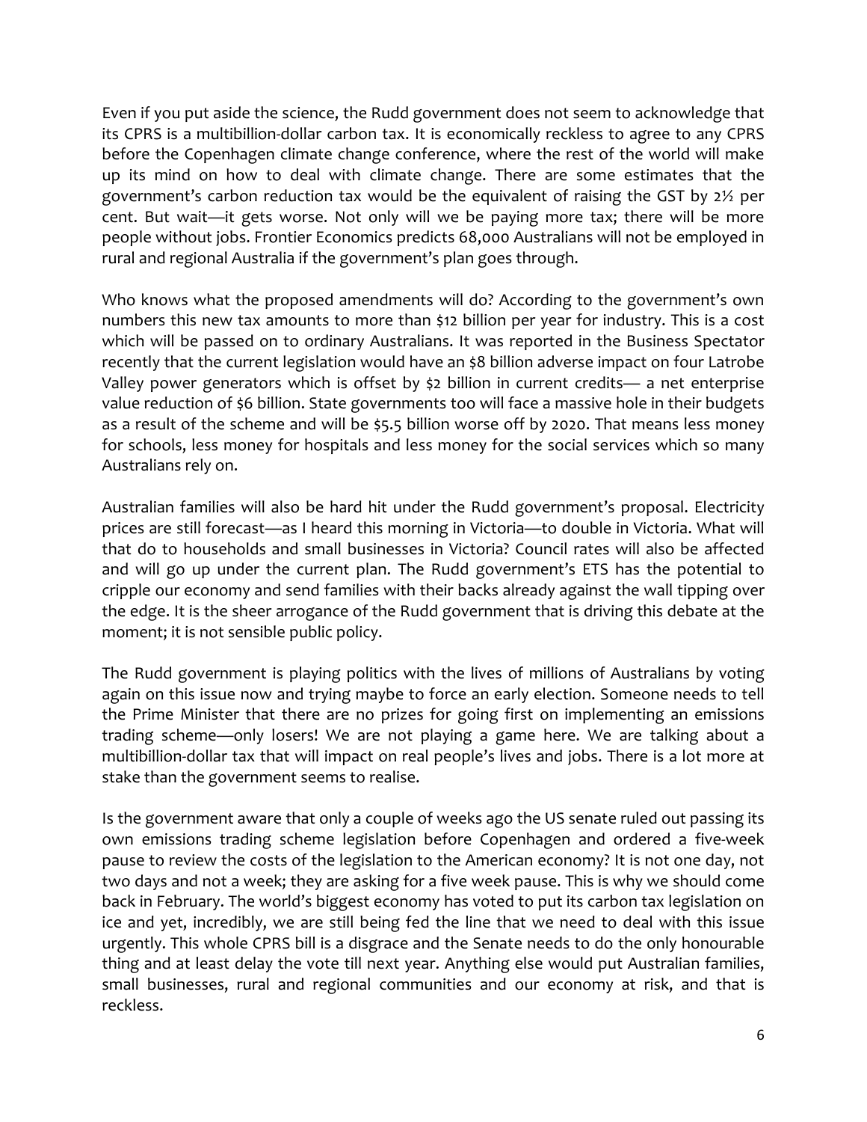Even if you put aside the science, the Rudd government does not seem to acknowledge that its CPRS is a multibillion-dollar carbon tax. It is economically reckless to agree to any CPRS before the Copenhagen climate change conference, where the rest of the world will make up its mind on how to deal with climate change. There are some estimates that the government's carbon reduction tax would be the equivalent of raising the GST by 2½ per cent. But wait—it gets worse. Not only will we be paying more tax; there will be more people without jobs. Frontier Economics predicts 68,000 Australians will not be employed in rural and regional Australia if the government's plan goes through.

Who knows what the proposed amendments will do? According to the government's own numbers this new tax amounts to more than \$12 billion per year for industry. This is a cost which will be passed on to ordinary Australians. It was reported in the Business Spectator recently that the current legislation would have an \$8 billion adverse impact on four Latrobe Valley power generators which is offset by \$2 billion in current credits— a net enterprise value reduction of \$6 billion. State governments too will face a massive hole in their budgets as a result of the scheme and will be \$5.5 billion worse off by 2020. That means less money for schools, less money for hospitals and less money for the social services which so many Australians rely on.

Australian families will also be hard hit under the Rudd government's proposal. Electricity prices are still forecast—as I heard this morning in Victoria—to double in Victoria. What will that do to households and small businesses in Victoria? Council rates will also be affected and will go up under the current plan. The Rudd government's ETS has the potential to cripple our economy and send families with their backs already against the wall tipping over the edge. It is the sheer arrogance of the Rudd government that is driving this debate at the moment; it is not sensible public policy.

The Rudd government is playing politics with the lives of millions of Australians by voting again on this issue now and trying maybe to force an early election. Someone needs to tell the Prime Minister that there are no prizes for going first on implementing an emissions trading scheme—only losers! We are not playing a game here. We are talking about a multibillion-dollar tax that will impact on real people's lives and jobs. There is a lot more at stake than the government seems to realise.

Is the government aware that only a couple of weeks ago the US senate ruled out passing its own emissions trading scheme legislation before Copenhagen and ordered a five-week pause to review the costs of the legislation to the American economy? It is not one day, not two days and not a week; they are asking for a five week pause. This is why we should come back in February. The world's biggest economy has voted to put its carbon tax legislation on ice and yet, incredibly, we are still being fed the line that we need to deal with this issue urgently. This whole CPRS bill is a disgrace and the Senate needs to do the only honourable thing and at least delay the vote till next year. Anything else would put Australian families, small businesses, rural and regional communities and our economy at risk, and that is reckless.